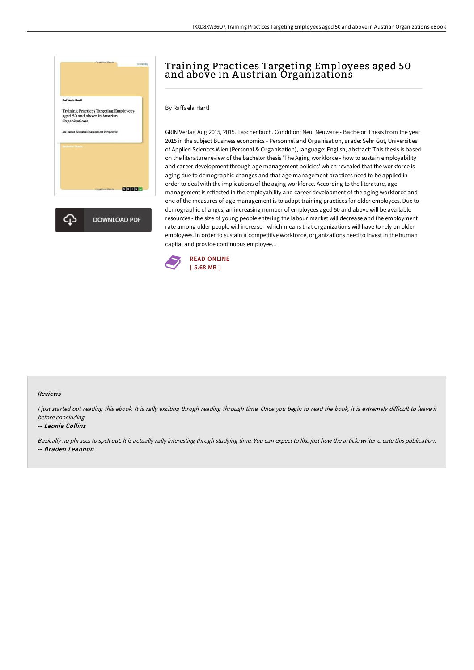

# Training Practices Targeting Employees aged 50 and above in Austrian Organizations

## By Raffaela Hartl

GRIN Verlag Aug 2015, 2015. Taschenbuch. Condition: Neu. Neuware - Bachelor Thesis from the year 2015 in the subject Business economics - Personnel and Organisation, grade: Sehr Gut, Universities of Applied Sciences Wien (Personal & Organisation), language: English, abstract: This thesis is based on the literature review of the bachelor thesis 'The Aging workforce - how to sustain employability and career development through age management policies' which revealed that the workforce is aging due to demographic changes and that age management practices need to be applied in order to deal with the implications of the aging workforce. According to the literature, age management is reflected in the employability and career development of the aging workforce and one of the measures of age management is to adapt training practices for older employees. Due to demographic changes, an increasing number of employees aged 50 and above will be available resources - the size of young people entering the labour market will decrease and the employment rate among older people will increase - which means that organizations will have to rely on older employees. In order to sustain a competitive workforce, organizations need to invest in the human capital and provide continuous employee...



#### Reviews

I just started out reading this ebook. It is rally exciting throgh reading through time. Once you begin to read the book, it is extremely difficult to leave it before concluding.

#### -- Leonie Collins

Basically no phrases to spell out. It is actually rally interesting throgh studying time. You can expect to like just how the article writer create this publication. -- Braden Leannon